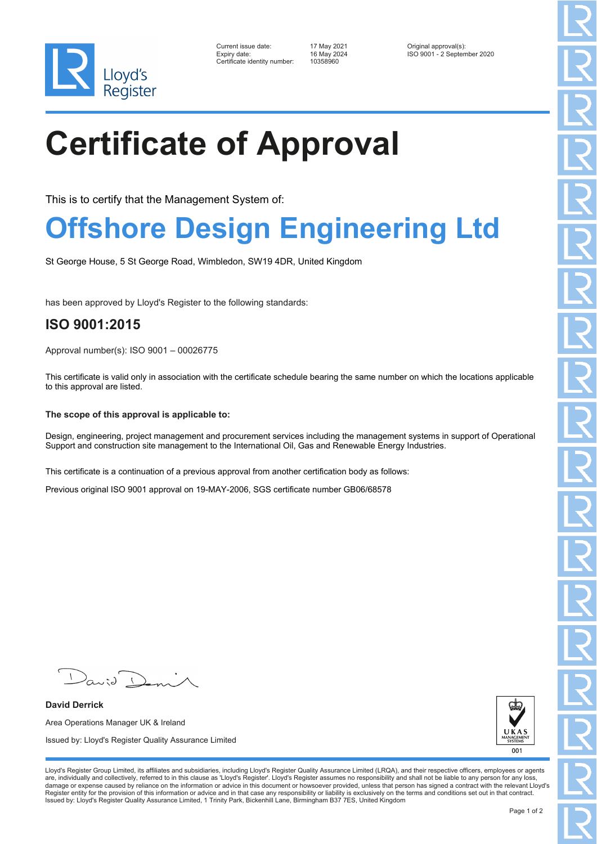

| Current issue date:          |
|------------------------------|
| Expiry date:                 |
| Certificate identity number: |

Certificate identity number: 10358960

Current issue date: 17 May 2021 Original approval(s): Expiry date: 16 May 2024 ISO 9001 - 2 September 2020

# **Certificate of Approval**

This is to certify that the Management System of:

### **Offshore Design Engineering Ltd**

St George House, 5 St George Road, Wimbledon, SW19 4DR, United Kingdom

has been approved by Lloyd's Register to the following standards:

### **ISO 9001:2015**

Approval number(s): ISO 9001 – 00026775

This certificate is valid only in association with the certificate schedule bearing the same number on which the locations applicable to this approval are listed.

#### **The scope of this approval is applicable to:**

Design, engineering, project management and procurement services including the management systems in support of Operational Support and construction site management to the International Oil, Gas and Renewable Energy Industries.

This certificate is a continuation of a previous approval from another certification body as follows:

Previous original ISO 9001 approval on 19-MAY-2006, SGS certificate number GB06/68578

**David Derrick** Area Operations Manager UK & Ireland Issued by: Lloyd's Register Quality Assurance Limited



Lloyd's Register Group Limited, its affiliates and subsidiaries, including Lloyd's Register Quality Assurance Limited (LRQA), and their respective officers, employees or agents are, individually and collectively, referred to in this clause as 'Lloyd's Register'. Lloyd's Register assumes no responsibility and shall not be liable to any person for any loss,<br>damage or expense caused by reliance on t Register entity for the provision of this information or advice and in that case any responsibility or liability is exclusively on the terms and conditions set out in that contract. Issued by: Lloyd's Register Quality Assurance Limited, 1 Trinity Park, Bickenhill Lane, Birmingham B37 7ES, United Kingdom